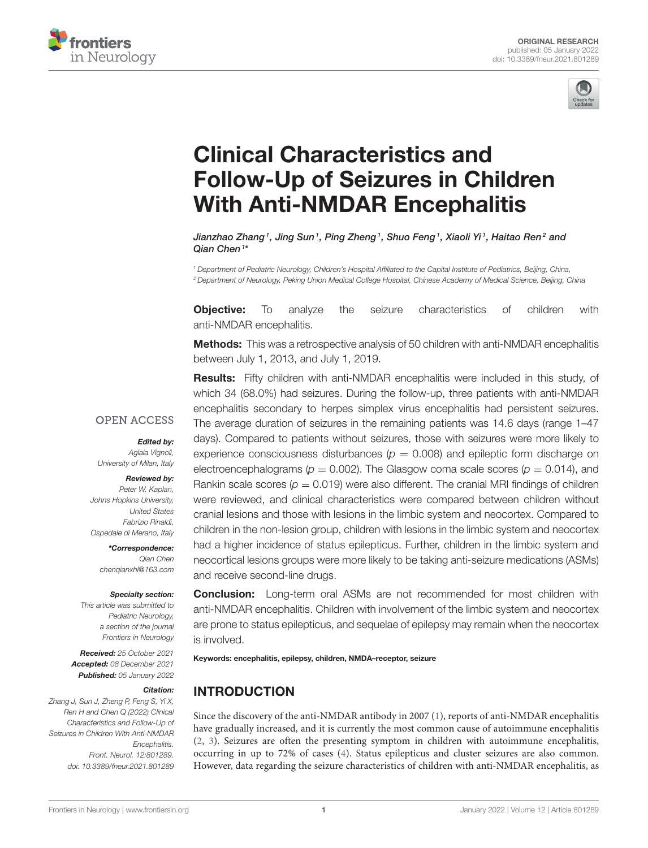



# Clinical Characteristics and [Follow-Up of Seizures in Children](https://www.frontiersin.org/articles/10.3389/fneur.2021.801289/full) With Anti-NMDAR Encephalitis

Jianzhao Zhang<sup>1</sup>, Jing Sun<sup>1</sup>, Ping Zheng<sup>1</sup>, Shuo Feng<sup>1</sup>, Xiaoli Yi<sup>1</sup>, Haitao Ren<sup>2</sup> and Qian Chen<sup>1\*</sup>

*<sup>1</sup> Department of Pediatric Neurology, Children's Hospital Affiliated to the Capital Institute of Pediatrics, Beijing, China, <sup>2</sup> Department of Neurology, Peking Union Medical College Hospital, Chinese Academy of Medical Science, Beijing, China*

**Objective:** To analyze the seizure characteristics of children with anti-NMDAR encephalitis.

**Methods:** This was a retrospective analysis of 50 children with anti-NMDAR encephalitis between July 1, 2013, and July 1, 2019.

Results: Fifty children with anti-NMDAR encephalitis were included in this study, of which 34 (68.0%) had seizures. During the follow-up, three patients with anti-NMDAR encephalitis secondary to herpes simplex virus encephalitis had persistent seizures. The average duration of seizures in the remaining patients was 14.6 days (range 1–47 days). Compared to patients without seizures, those with seizures were more likely to experience consciousness disturbances ( $p = 0.008$ ) and epileptic form discharge on electroencephalograms ( $p = 0.002$ ). The Glasgow coma scale scores ( $p = 0.014$ ), and Rankin scale scores ( $p = 0.019$ ) were also different. The cranial MRI findings of children were reviewed, and clinical characteristics were compared between children without cranial lesions and those with lesions in the limbic system and neocortex. Compared to children in the non-lesion group, children with lesions in the limbic system and neocortex had a higher incidence of status epilepticus. Further, children in the limbic system and neocortical lesions groups were more likely to be taking anti-seizure medications (ASMs) and receive second-line drugs.

Specialty section:

Edited by: *Aglaia Vignoli, University of Milan, Italy* Reviewed by: *Peter W. Kaplan, Johns Hopkins University,*

**OPEN ACCESS** 

*United States Fabrizio Rinaldi, Ospedale di Merano, Italy* \*Correspondence: *Qian Chen*

*This article was submitted to Pediatric Neurology, a section of the journal Frontiers in Neurology*

*[chenqianxhl@163.com](mailto:chenqianxhl@163.com)*

Received: *25 October 2021* Accepted: *08 December 2021* Published: *05 January 2022*

#### Citation:

*Zhang J, Sun J, Zheng P, Feng S, Yi X, Ren H and Chen Q (2022) Clinical Characteristics and Follow-Up of Seizures in Children With Anti-NMDAR Encephalitis. Front. Neurol. 12:801289. doi: [10.3389/fneur.2021.801289](https://doi.org/10.3389/fneur.2021.801289)*

**Conclusion:** Long-term oral ASMs are not recommended for most children with anti-NMDAR encephalitis. Children with involvement of the limbic system and neocortex are prone to status epilepticus, and sequelae of epilepsy may remain when the neocortex is involved.

Keywords: encephalitis, epilepsy, children, NMDA–receptor, seizure

## INTRODUCTION

Since the discovery of the anti-NMDAR antibody in 2007 [\(1\)](#page-4-0), reports of anti-NMDAR encephalitis have gradually increased, and it is currently the most common cause of autoimmune encephalitis [\(2,](#page-4-1) [3\)](#page-4-2). Seizures are often the presenting symptom in children with autoimmune encephalitis, occurring in up to 72% of cases [\(4\)](#page-4-3). Status epilepticus and cluster seizures are also common. However, data regarding the seizure characteristics of children with anti-NMDAR encephalitis, as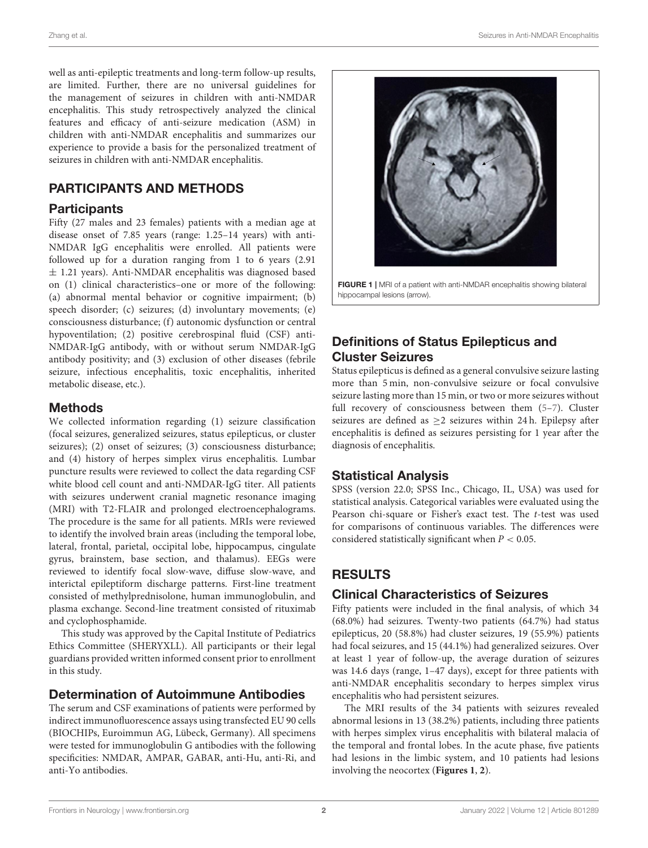well as anti-epileptic treatments and long-term follow-up results, are limited. Further, there are no universal guidelines for the management of seizures in children with anti-NMDAR encephalitis. This study retrospectively analyzed the clinical features and efficacy of anti-seizure medication (ASM) in children with anti-NMDAR encephalitis and summarizes our experience to provide a basis for the personalized treatment of seizures in children with anti-NMDAR encephalitis.

## PARTICIPANTS AND METHODS

#### **Participants**

Fifty (27 males and 23 females) patients with a median age at disease onset of 7.85 years (range: 1.25–14 years) with anti-NMDAR IgG encephalitis were enrolled. All patients were followed up for a duration ranging from 1 to 6 years (2.91 ± 1.21 years). Anti-NMDAR encephalitis was diagnosed based on (1) clinical characteristics–one or more of the following: (a) abnormal mental behavior or cognitive impairment; (b) speech disorder; (c) seizures; (d) involuntary movements; (e) consciousness disturbance; (f) autonomic dysfunction or central hypoventilation; (2) positive cerebrospinal fluid (CSF) anti-NMDAR-IgG antibody, with or without serum NMDAR-IgG antibody positivity; and (3) exclusion of other diseases (febrile seizure, infectious encephalitis, toxic encephalitis, inherited metabolic disease, etc.).

#### Methods

We collected information regarding (1) seizure classification (focal seizures, generalized seizures, status epilepticus, or cluster seizures); (2) onset of seizures; (3) consciousness disturbance; and (4) history of herpes simplex virus encephalitis. Lumbar puncture results were reviewed to collect the data regarding CSF white blood cell count and anti-NMDAR-IgG titer. All patients with seizures underwent cranial magnetic resonance imaging (MRI) with T2-FLAIR and prolonged electroencephalograms. The procedure is the same for all patients. MRIs were reviewed to identify the involved brain areas (including the temporal lobe, lateral, frontal, parietal, occipital lobe, hippocampus, cingulate gyrus, brainstem, base section, and thalamus). EEGs were reviewed to identify focal slow-wave, diffuse slow-wave, and interictal epileptiform discharge patterns. First-line treatment consisted of methylprednisolone, human immunoglobulin, and plasma exchange. Second-line treatment consisted of rituximab and cyclophosphamide.

This study was approved by the Capital Institute of Pediatrics Ethics Committee (SHERYXLL). All participants or their legal guardians provided written informed consent prior to enrollment in this study.

#### Determination of Autoimmune Antibodies

The serum and CSF examinations of patients were performed by indirect immunofluorescence assays using transfected EU 90 cells (BIOCHIPs, Euroimmun AG, Lübeck, Germany). All specimens were tested for immunoglobulin G antibodies with the following specificities: NMDAR, AMPAR, GABAR, anti-Hu, anti-Ri, and anti-Yo antibodies.



<span id="page-1-0"></span>FIGURE 1 | MRI of a patient with anti-NMDAR encephalitis showing bilateral hippocampal lesions (arrow).

# Definitions of Status Epilepticus and Cluster Seizures

Status epilepticus is defined as a general convulsive seizure lasting more than 5 min, non-convulsive seizure or focal convulsive seizure lasting more than 15 min, or two or more seizures without full recovery of consciousness between them [\(5–](#page-4-4)[7\)](#page-4-5). Cluster seizures are defined as ≥2 seizures within 24 h. Epilepsy after encephalitis is defined as seizures persisting for 1 year after the diagnosis of encephalitis.

#### Statistical Analysis

SPSS (version 22.0; SPSS Inc., Chicago, IL, USA) was used for statistical analysis. Categorical variables were evaluated using the Pearson chi-square or Fisher's exact test. The t-test was used for comparisons of continuous variables. The differences were considered statistically significant when  $P < 0.05$ .

# RESULTS

## Clinical Characteristics of Seizures

Fifty patients were included in the final analysis, of which 34 (68.0%) had seizures. Twenty-two patients (64.7%) had status epilepticus, 20 (58.8%) had cluster seizures, 19 (55.9%) patients had focal seizures, and 15 (44.1%) had generalized seizures. Over at least 1 year of follow-up, the average duration of seizures was 14.6 days (range, 1–47 days), except for three patients with anti-NMDAR encephalitis secondary to herpes simplex virus encephalitis who had persistent seizures.

The MRI results of the 34 patients with seizures revealed abnormal lesions in 13 (38.2%) patients, including three patients with herpes simplex virus encephalitis with bilateral malacia of the temporal and frontal lobes. In the acute phase, five patients had lesions in the limbic system, and 10 patients had lesions involving the neocortex (**[Figures 1](#page-1-0)**, **[2](#page-2-0)**).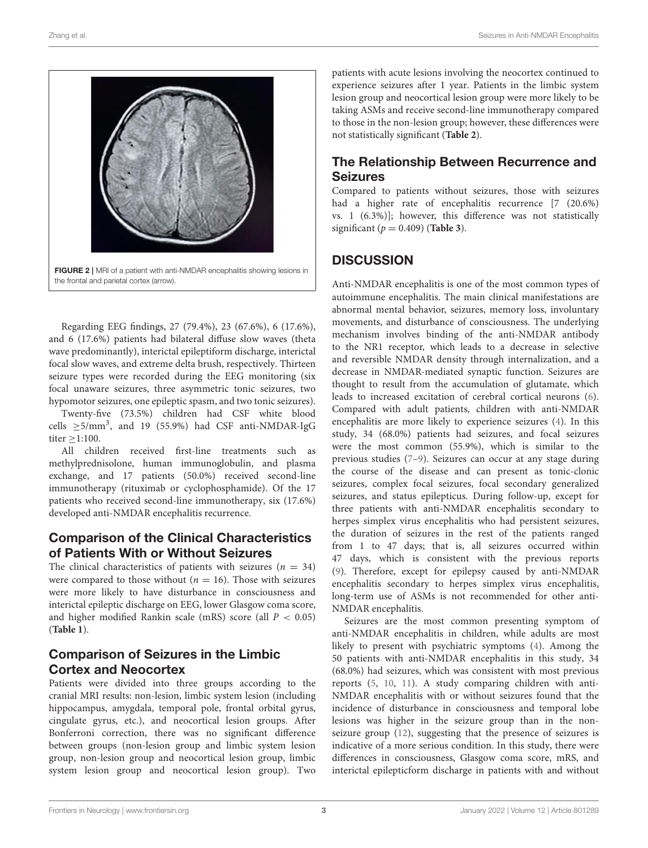

<span id="page-2-0"></span>Regarding EEG findings, 27 (79.4%), 23 (67.6%), 6 (17.6%), and 6 (17.6%) patients had bilateral diffuse slow waves (theta wave predominantly), interictal epileptiform discharge, interictal focal slow waves, and extreme delta brush, respectively. Thirteen seizure types were recorded during the EEG monitoring (six focal unaware seizures, three asymmetric tonic seizures, two hypomotor seizures, one epileptic spasm, and two tonic seizures).

Twenty-five (73.5%) children had CSF white blood cells  $\geq$ 5/mm<sup>3</sup>, and 19 (55.9%) had CSF anti-NMDAR-IgG titer ≥1:100.

All children received first-line treatments such as methylprednisolone, human immunoglobulin, and plasma exchange, and 17 patients (50.0%) received second-line immunotherapy (rituximab or cyclophosphamide). Of the 17 patients who received second-line immunotherapy, six (17.6%) developed anti-NMDAR encephalitis recurrence.

#### Comparison of the Clinical Characteristics of Patients With or Without Seizures

The clinical characteristics of patients with seizures ( $n = 34$ ) were compared to those without ( $n = 16$ ). Those with seizures were more likely to have disturbance in consciousness and interictal epileptic discharge on EEG, lower Glasgow coma score, and higher modified Rankin scale (mRS) score (all  $P < 0.05$ ) (**[Table 1](#page-3-0)**).

## Comparison of Seizures in the Limbic Cortex and Neocortex

Patients were divided into three groups according to the cranial MRI results: non-lesion, limbic system lesion (including hippocampus, amygdala, temporal pole, frontal orbital gyrus, cingulate gyrus, etc.), and neocortical lesion groups. After Bonferroni correction, there was no significant difference between groups (non-lesion group and limbic system lesion group, non-lesion group and neocortical lesion group, limbic system lesion group and neocortical lesion group). Two

patients with acute lesions involving the neocortex continued to experience seizures after 1 year. Patients in the limbic system lesion group and neocortical lesion group were more likely to be taking ASMs and receive second-line immunotherapy compared to those in the non-lesion group; however, these differences were not statistically significant (**[Table 2](#page-3-1)**).

## The Relationship Between Recurrence and Seizures

Compared to patients without seizures, those with seizures had a higher rate of encephalitis recurrence [7 (20.6%) vs. 1 (6.3%)]; however, this difference was not statistically significant ( $p = 0.409$ ) (**[Table 3](#page-3-2)**).

## **DISCUSSION**

Anti-NMDAR encephalitis is one of the most common types of autoimmune encephalitis. The main clinical manifestations are abnormal mental behavior, seizures, memory loss, involuntary movements, and disturbance of consciousness. The underlying mechanism involves binding of the anti-NMDAR antibody to the NR1 receptor, which leads to a decrease in selective and reversible NMDAR density through internalization, and a decrease in NMDAR-mediated synaptic function. Seizures are thought to result from the accumulation of glutamate, which leads to increased excitation of cerebral cortical neurons [\(6\)](#page-4-6). Compared with adult patients, children with anti-NMDAR encephalitis are more likely to experience seizures [\(4\)](#page-4-3). In this study, 34 (68.0%) patients had seizures, and focal seizures were the most common (55.9%), which is similar to the previous studies [\(7](#page-4-5)[–9\)](#page-4-7). Seizures can occur at any stage during the course of the disease and can present as tonic-clonic seizures, complex focal seizures, focal secondary generalized seizures, and status epilepticus. During follow-up, except for three patients with anti-NMDAR encephalitis secondary to herpes simplex virus encephalitis who had persistent seizures, the duration of seizures in the rest of the patients ranged from 1 to 47 days; that is, all seizures occurred within 47 days, which is consistent with the previous reports [\(9\)](#page-4-7). Therefore, except for epilepsy caused by anti-NMDAR encephalitis secondary to herpes simplex virus encephalitis, long-term use of ASMs is not recommended for other anti-NMDAR encephalitis.

Seizures are the most common presenting symptom of anti-NMDAR encephalitis in children, while adults are most likely to present with psychiatric symptoms [\(4\)](#page-4-3). Among the 50 patients with anti-NMDAR encephalitis in this study, 34 (68.0%) had seizures, which was consistent with most previous reports [\(5,](#page-4-4) [10,](#page-4-8) [11\)](#page-4-9). A study comparing children with anti-NMDAR encephalitis with or without seizures found that the incidence of disturbance in consciousness and temporal lobe lesions was higher in the seizure group than in the nonseizure group [\(12\)](#page-4-10), suggesting that the presence of seizures is indicative of a more serious condition. In this study, there were differences in consciousness, Glasgow coma score, mRS, and interictal epilepticform discharge in patients with and without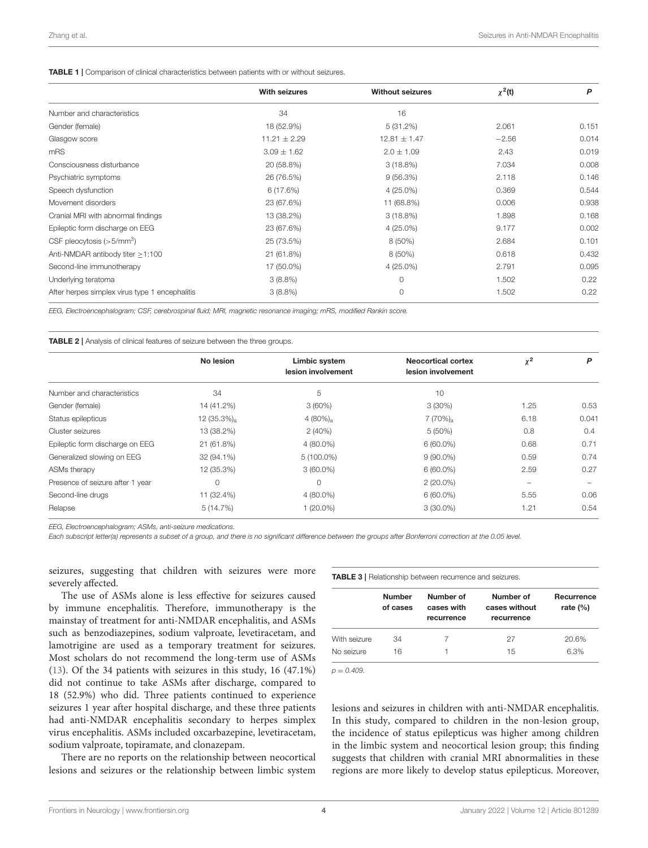#### <span id="page-3-0"></span>TABLE 1 | Comparison of clinical characteristics between patients with or without seizures.

|                                                | <b>With seizures</b> | <b>Without seizures</b> | $\chi^2(t)$ | P     |
|------------------------------------------------|----------------------|-------------------------|-------------|-------|
| Number and characteristics                     | 34                   | 16                      |             |       |
| Gender (female)                                | 18 (52.9%)           | 5(31.2%)                | 2.061       | 0.151 |
| Glasgow score                                  | $11.21 \pm 2.29$     | $12.81 \pm 1.47$        | $-2.56$     | 0.014 |
| mRS                                            | $3.09 \pm 1.62$      | $2.0 \pm 1.09$          | 2.43        | 0.019 |
| Consciousness disturbance                      | 20 (58.8%)           | $3(18.8\%)$             | 7.034       | 0.008 |
| Psychiatric symptoms                           | 26 (76.5%)           | 9(56.3%)                | 2.118       | 0.146 |
| Speech dysfunction                             | 6(17.6%)             | $4(25.0\%)$             | 0.369       | 0.544 |
| Movement disorders                             | 23 (67.6%)           | 11 (68.8%)              | 0.006       | 0.938 |
| Cranial MRI with abnormal findings             | 13 (38.2%)           | $3(18.8\%)$             | 1.898       | 0.168 |
| Epileptic form discharge on EEG                | 23 (67.6%)           | $4(25.0\%)$             | 9.177       | 0.002 |
| CSF pleocytosis $(>5/mm3)$                     | 25 (73.5%)           | 8 (50%)                 | 2.684       | 0.101 |
| Anti-NMDAR antibody titer $>1:100$             | 21 (61.8%)           | 8 (50%)                 | 0.618       | 0.432 |
| Second-line immunotherapy                      | 17 (50.0%)           | $4(25.0\%)$             | 2.791       | 0.095 |
| Underlying teratoma                            | $3(8.8\%)$           | $\Omega$                | 1.502       | 0.22  |
| After herpes simplex virus type 1 encephalitis | $3(8.8\%)$           | $\circ$                 | 1.502       | 0.22  |

*EEG, Electroencephalogram; CSF, cerebrospinal fluid; MRI, magnetic resonance imaging; mRS, modified Rankin score.*

<span id="page-3-1"></span>TABLE 2 | Analysis of clinical features of seizure between the three groups.

| No lesion<br>Limbic system<br><b>Neocortical cortex</b><br>lesion involvement<br>lesion involvement | $\chi^2$                 | P     |
|-----------------------------------------------------------------------------------------------------|--------------------------|-------|
|                                                                                                     |                          |       |
| 5<br>34<br>Number and characteristics<br>10                                                         |                          |       |
| Gender (female)<br>$3(60\%)$<br>$3(30\%)$<br>14 (41.2%)                                             | 1.25                     | 0.53  |
| $7(70%)_a$<br>$12(35.3\%)a$<br>4 $(80\%)_a$<br>Status epilepticus                                   | 6.18                     | 0.041 |
| 13 (38.2%)<br>2(40%)<br>$5(50\%)$<br>Cluster seizures                                               | 0.8                      | 0.4   |
| Epileptic form discharge on EEG<br>$4(80.0\%)$<br>$6(60.0\%)$<br>21 (61.8%)                         | 0.68                     | 0.71  |
| Generalized slowing on EEG<br>$5(100.0\%)$<br>32 (94.1%)<br>$9(90.0\%)$                             | 0.59                     | 0.74  |
| 12 (35.3%)<br>$6(60.0\%)$<br>ASMs therapy<br>$3(60.0\%)$                                            | 2.59                     | 0.27  |
| $\Omega$<br>Presence of seizure after 1 year<br>$\Omega$<br>$2(20.0\%)$                             | $\overline{\phantom{0}}$ |       |
| Second-line drugs<br>$6(60.0\%)$<br>11 (32.4%)<br>$4(80.0\%)$                                       | 5.55                     | 0.06  |
| Relapse<br>$1(20.0\%)$<br>$3(30.0\%)$<br>5(14.7%)                                                   | 1.21                     | 0.54  |

*EEG, Electroencephalogram; ASMs, anti-seizure medications.*

*Each subscript letter(a) represents a subset of a group, and there is no significant difference between the groups after Bonferroni correction at the 0.05 level.*

seizures, suggesting that children with seizures were more severely affected.

The use of ASMs alone is less effective for seizures caused by immune encephalitis. Therefore, immunotherapy is the mainstay of treatment for anti-NMDAR encephalitis, and ASMs such as benzodiazepines, sodium valproate, levetiracetam, and lamotrigine are used as a temporary treatment for seizures. Most scholars do not recommend the long-term use of ASMs [\(13\)](#page-4-11). Of the 34 patients with seizures in this study, 16 (47.1%) did not continue to take ASMs after discharge, compared to 18 (52.9%) who did. Three patients continued to experience seizures 1 year after hospital discharge, and these three patients had anti-NMDAR encephalitis secondary to herpes simplex virus encephalitis. ASMs included oxcarbazepine, levetiracetam, sodium valproate, topiramate, and clonazepam.

There are no reports on the relationship between neocortical lesions and seizures or the relationship between limbic system <span id="page-3-2"></span>TABLE 3 | Relationship between recurrence and seizures.

|              | <b>Number</b><br>of cases | Number of<br>cases with<br>recurrence | Number of<br>cases without<br>recurrence | Recurrence<br>rate $(\%)$ |
|--------------|---------------------------|---------------------------------------|------------------------------------------|---------------------------|
| With seizure | 34                        | 7                                     | 27                                       | 20.6%                     |
| No seizure   | 16                        |                                       | 15                                       | 6.3%                      |

*p* = *0.409.*

lesions and seizures in children with anti-NMDAR encephalitis. In this study, compared to children in the non-lesion group, the incidence of status epilepticus was higher among children in the limbic system and neocortical lesion group; this finding suggests that children with cranial MRI abnormalities in these regions are more likely to develop status epilepticus. Moreover,